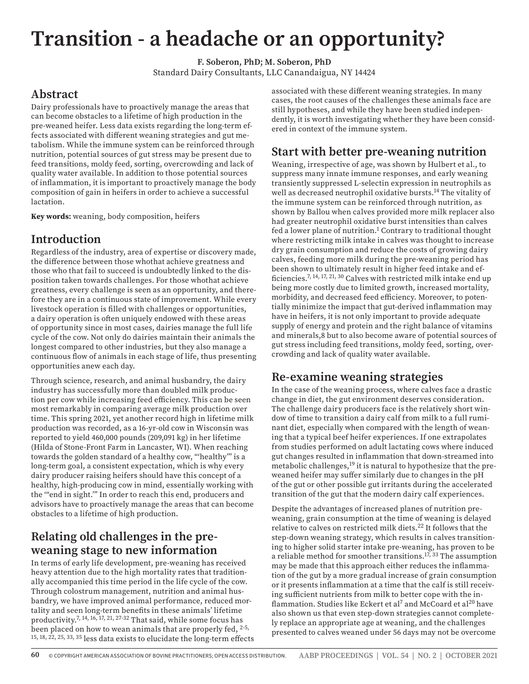# **Transition - a headache or an opportunity?**

**F. Soberon, PhD; M. Soberon, PhD** Standard Dairy Consultants, LLC Canandaigua, NY 14424

# **Abstract**

Dairy professionals have to proactively manage the areas that can become obstacles to a lifetime of high production in the pre-weaned heifer. Less data exists regarding the long-term effects associated with different weaning strategies and gut metabolism. While the immune system can be reinforced through nutrition, potential sources of gut stress may be present due to feed transitions, moldy feed, sorting, overcrowding and lack of quality water available. In addition to those potential sources of inflammation, it is important to proactively manage the body composition of gain in heifers in order to achieve a successful lactation.

**Key words:** weaning, body composition, heifers

## **Introduction**

Regardless of the industry, area of expertise or discovery made, the difference between those whothat achieve greatness and those who that fail to succeed is undoubtedly linked to the disposition taken towards challenges. For those whothat achieve greatness, every challenge is seen as an opportunity, and therefore they are in a continuous state of improvement. While every livestock operation is filled with challenges or opportunities, a dairy operation is often uniquely endowed with these areas of opportunity since in most cases, dairies manage the full life cycle of the cow. Not only do dairies maintain their animals the longest compared to other industries, but they also manage a continuous flow of animals in each stage of life, thus presenting opportunities anew each day.

Through science, research, and animal husbandry, the dairy industry has successfully more than doubled milk production per cow while increasing feed efficiency. This can be seen most remarkably in comparing average milk production over time. This spring 2021, yet another record high in lifetime milk production was recorded, as a 16-yr-old cow in Wisconsin was reported to yield 460,000 pounds (209,091 kg) in her lifetime (Hilda of Stone-Front Farm in Lancaster, WI). When reaching towards the golden standard of a healthy cow, "'healthy'" is a long-term goal, a consistent expectation, which is why every dairy producer raising heifers should have this concept of a healthy, high-producing cow in mind, essentially working with the '"end in sight.'" In order to reach this end, producers and advisors have to proactively manage the areas that can become obstacles to a lifetime of high production.

# **Relating old challenges in the preweaning stage to new information**

In terms of early life development, pre-weaning has received heavy attention due to the high mortality rates that traditionally accompanied this time period in the life cycle of the cow. Through colostrum management, nutrition and animal husbandry, we have improved animal performance, reduced mortality and seen long-term benefits in these animals' lifetime productivity.<sup>7, 14, 16, 17, 21, 27-32</sup> That said, while some focus has been placed on how to wean animals that are properly fed, <sup>2-5,</sup> 15, 18, 22, 25, 33, 35 less data exists to elucidate the long-term effects associated with these different weaning strategies. In many cases, the root causes of the challenges these animals face are still hypotheses, and while they have been studied independently, it is worth investigating whether they have been considered in context of the immune system.

## **Start with better pre-weaning nutrition**

Weaning, irrespective of age, was shown by Hulbert et al., to suppress many innate immune responses, and early weaning transiently suppressed L-selectin expression in neutrophils as well as decreased neutrophil oxidative bursts.<sup>14</sup> The vitality of the immune system can be reinforced through nutrition, as shown by Ballou when calves provided more milk replacer also had greater neutrophil oxidative burst intensities than calves fed a lower plane of nutrition.<sup>1</sup> Contrary to traditional thought where restricting milk intake in calves was thought to increase dry grain consumption and reduce the costs of growing dairy calves, feeding more milk during the pre-weaning period has been shown to ultimately result in higher feed intake and efficiencies.7, 14, 17, 21, 30 Calves with restricted milk intake end up being more costly due to limited growth, increased mortality, morbidity, and decreased feed efficiency. Moreover, to potentially minimize the impact that gut-derived inflammation may have in heifers, it is not only important to provide adequate supply of energy and protein and the right balance of vitamins and minerals,8 but to also become aware of potential sources of gut stress including feed transitions, moldy feed, sorting, overcrowding and lack of quality water available.

# **Re-examine weaning strategies**

In the case of the weaning process, where calves face a drastic change in diet, the gut environment deserves consideration. The challenge dairy producers face is the relatively short window of time to transition a dairy calf from milk to a full ruminant diet, especially when compared with the length of weaning that a typical beef heifer experiences. If one extrapolates from studies performed on adult lactating cows where induced gut changes resulted in inflammation that down-streamed into metabolic challenges,<sup>19</sup> it is natural to hypothesize that the preweaned heifer may suffer similarly due to changes in the pH of the gut or other possible gut irritants during the accelerated transition of the gut that the modern dairy calf experiences.

Despite the advantages of increased planes of nutrition preweaning, grain consumption at the time of weaning is delayed relative to calves on restricted milk diets.22 It follows that the step-down weaning strategy, which results in calves transitioning to higher solid starter intake pre-weaning, has proven to be a reliable method for smoother transitions.17, 33 The assumption may be made that this approach either reduces the inflammation of the gut by a more gradual increase of grain consumption or it presents inflammation at a time that the calf is still receiving sufficient nutrients from milk to better cope with the inflammation. Studies like Eckert et al<sup>7</sup> and McCoard et al<sup>20</sup> have also shown us that even step-down strategies cannot completely replace an appropriate age at weaning, and the challenges presented to calves weaned under 56 days may not be overcome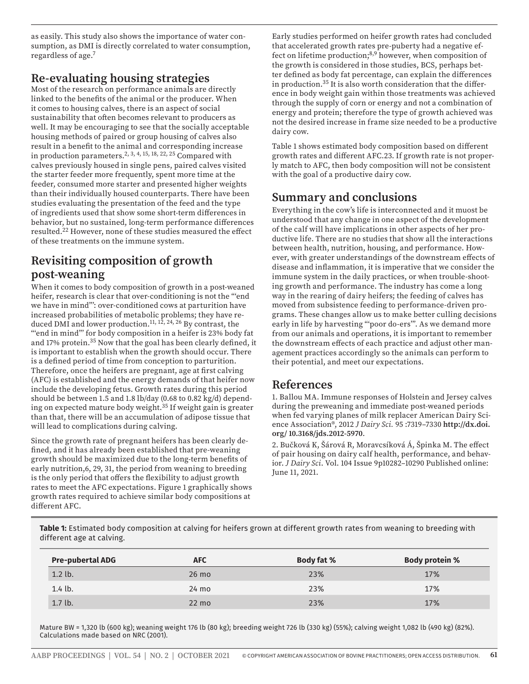as easily. This study also shows the importance of water consumption, as DMI is directly correlated to water consumption, regardless of age.7

# **Re-evaluating housing strategies**

Most of the research on performance animals are directly linked to the benefits of the animal or the producer. When it comes to housing calves, there is an aspect of social sustainability that often becomes relevant to producers as well. It may be encouraging to see that the socially acceptable housing methods of paired or group housing of calves also result in a benefit to the animal and corresponding increase in production parameters.<sup>2, 3, 4, 15, 18, 22, 25</sup> Compared with calves previously housed in single pens, paired calves visited the starter feeder more frequently, spent more time at the feeder, consumed more starter and presented higher weights than their individually housed counterparts. There have been studies evaluating the presentation of the feed and the type of ingredients used that show some short-term differences in behavior, but no sustained, long-term performance differences resulted.22 However, none of these studies measured the effect of these treatments on the immune system.

# **Revisiting composition of growth post-weaning**

When it comes to body composition of growth in a post-weaned heifer, research is clear that over-conditioning is not the "'end we have in mind"': over-conditioned cows at parturition have increased probabilities of metabolic problems; they have reduced DMI and lower production. $11, 12, 24, 26$  By contrast, the "'end in mind"' for body composition in a heifer is 23% body fat and 17% protein.35 Now that the goal has been clearly defined, it is important to establish when the growth should occur. There is a defined period of time from conception to parturition. Therefore, once the heifers are pregnant, age at first calving (AFC) is established and the energy demands of that heifer now include the developing fetus. Growth rates during this period should be between 1.5 and 1.8 lb/day (0.68 to 0.82 kg/d) depending on expected mature body weight.35 If weight gain is greater than that, there will be an accumulation of adipose tissue that will lead to complications during calving.

Since the growth rate of pregnant heifers has been clearly defined, and it has already been established that pre-weaning growth should be maximized due to the long-term benefits of early nutrition,6, 29, 31, the period from weaning to breeding is the only period that offers the flexibility to adjust growth rates to meet the AFC expectations. Figure 1 graphically shows growth rates required to achieve similar body compositions at different AFC.

Early studies performed on heifer growth rates had concluded that accelerated growth rates pre-puberty had a negative effect on lifetime production;<sup>8,9</sup> however, when composition of the growth is considered in those studies, BCS, perhaps better defined as body fat percentage, can explain the differences in production.35 It is also worth consideration that the difference in body weight gain within those treatments was achieved through the supply of corn or energy and not a combination of energy and protein; therefore the type of growth achieved was not the desired increase in frame size needed to be a productive dairy cow.

Table 1 shows estimated body composition based on different growth rates and different AFC.23. If growth rate is not properly match to AFC, then body composition will not be consistent with the goal of a productive dairy cow.

## **Summary and conclusions**

Everything in the cow's life is interconnected and it muost be understood that any change in one aspect of the development of the calf will have implications in other aspects of her productive life. There are no studies that show all the interactions between health, nutrition, housing, and performance. However, with greater understandings of the downstream effects of disease and inflammation, it is imperative that we consider the immune system in the daily practices, or when trouble-shooting growth and performance. The industry has come a long way in the rearing of dairy heifers; the feeding of calves has moved from subsistence feeding to performance-driven programs. These changes allow us to make better culling decisions early in life by harvesting "'poor do-ers'". As we demand more from our animals and operations, it is important to remember the downstream effects of each practice and adjust other management practices accordingly so the animals can perform to their potential, and meet our expectations.

#### **References**

1. Ballou MA. Immune responses of Holstein and Jersey calves during the preweaning and immediate post-weaned periods when fed varying planes of milk replacer American Dairy Science Association®, 2012 *J Dairy Sci.* 95 :7319–7330 **http://dx.doi. org/ 10.3168/jds.2012-5970**.

2. Bučková K, Šárová R, Moravcsíková Á, Špinka M. The effect of pair housing on dairy calf health, performance, and behavior. *J Dairy Sci*. Vol. 104 Issue 9p10282–10290 Published online: June 11, 2021.

**Table 1:** Estimated body composition at calving for heifers grown at different growth rates from weaning to breeding with different age at calving.

| <b>Pre-pubertal ADG</b> | <b>AFC</b>      | <b>Body fat %</b> | <b>Body protein %</b> |
|-------------------------|-----------------|-------------------|-----------------------|
| $1.2$ lb.               | $26 \text{ mo}$ | 23%               | 17%                   |
| $1.4$ lb.               | $24 \text{ mo}$ | 23%               | 17%                   |
| $1.7$ lb.               | $22 \text{ mo}$ | 23%               | 17%                   |

Mature BW = 1,320 lb (600 kg); weaning weight 176 lb (80 kg); breeding weight 726 lb (330 kg) (55%); calving weight 1,082 lb (490 kg) (82%). Calculations made based on NRC (2001).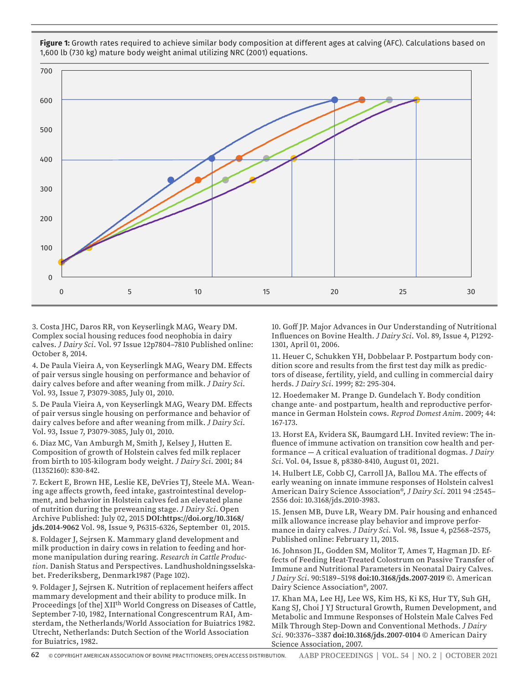

**Figure 1:** Growth rates required to achieve similar body composition at different ages at calving (AFC). Calculations based on 1,600 lb (730 kg) mature body weight animal utilizing NRC (2001) equations.

3. Costa JHC, Daros RR, von Keyserlingk MAG, Weary DM. Complex social housing reduces food neophobia in dairy calves. *J Dairy Sci*. Vol. 97 Issue 12p7804–7810 Published online: October 8, 2014.

4. De Paula Vieira A, von Keyserlingk MAG, Weary DM. Effects of pair versus single housing on performance and behavior of dairy calves before and after weaning from milk. *J Dairy Sci*. Vol. 93, Issue 7, P3079-3085, July 01, 2010.

5. De Paula Vieira A, von Keyserlingk MAG, Weary DM. Effects of pair versus single housing on performance and behavior of dairy calves before and after weaning from milk. *J Dairy Sci*. Vol. 93, Issue 7, P3079-3085, July 01, 2010.

6. Diaz MC, Van Amburgh M, Smith J, Kelsey J, Hutten E. Composition of growth of Holstein calves fed milk replacer from birth to 105-kilogram body weight. *J Dairy Sci*. 2001; 84 (11352160): 830-842.

7. Eckert E, Brown HE, Leslie KE, DeVries TJ, Steele MA. Weaning age affects growth, feed intake, gastrointestinal development, and behavior in Holstein calves fed an elevated plane of nutrition during the preweaning stage. *J Dairy Sci*. Open Archive Published: July 02, 2015 **DOI:https://doi.org/10.3168/ jds.2014-9062** Vol. 98, Issue 9, P6315-6326, September 01, 2015.

8. Foldager J, Sejrsen K. Mammary gland development and milk production in dairy cows in relation to feeding and hormone manipulation during rearing. *Research in Cattle Production*. Danish Status and Perspectives. Landhusholdningsselskabet. Frederiksberg, Denmark1987 (Page 102).

9. Foldager J, Sejrsen K. Nutrition of replacement heifers affect mammary development and their ability to produce milk. In Proceedings [of the] XII<sup>th</sup> World Congress on Diseases of Cattle, September 7-10, 1982, International Congrescentrum RAI, Amsterdam, the Netherlands/World Association for Buiatrics 1982. Utrecht, Netherlands: Dutch Section of the World Association for Buiatrics, 1982.

10. Goff JP. Major Advances in Our Understanding of Nutritional Influences on Bovine Health. *J Dairy Sci*. Vol. 89, Issue 4, P1292- 1301, April 01, 2006.

11. Heuer C, Schukken YH, Dobbelaar P. Postpartum body condition score and results from the first test day milk as predictors of disease, fertility, yield, and culling in commercial dairy herds. *J Dairy Sci*. 1999; 82: 295-304.

12. Hoedemaker M. Prange D. Gundelach Y. Body condition change ante- and postpartum, health and reproductive performance in German Holstein cows. *Reprod Domest Anim*. 2009; 44: 167-173.

13. Horst EA, Kvidera SK, Baumgard LH. Invited review: The influence of immune activation on transition cow health and performance — A critical evaluation of traditional dogmas. *J Dairy Sci*. Vol. 04, Issue 8, p8380-8410, August 01, 2021.

14. Hulbert LE, Cobb CJ, Carroll JA, Ballou MA. The effects of early weaning on innate immune responses of Holstein calves1 American Dairy Science Association®, *J Dairy Sci*. 2011 94 :2545– 2556 doi: 10.3168/jds.2010-3983.

15. Jensen MB, Duve LR, Weary DM. Pair housing and enhanced milk allowance increase play behavior and improve performance in dairy calves. *J Dairy Sci*. Vol. 98, Issue 4, p2568–2575, Published online: February 11, 2015.

16. Johnson JL, Godden SM, Molitor T, Ames T, Hagman JD. Effects of Feeding Heat-Treated Colostrum on Passive Transfer of Immune and Nutritional Parameters in Neonatal Dairy Calves. *J Dairy Sci*. 90:5189–5198 **doi:10.3168/jds.2007-2019** ©. American Dairy Science Association®, 2007.

17. Khan MA, Lee HJ, Lee WS, Kim HS, Ki KS, Hur TY, Suh GH, Kang SJ, Choi J YJ Structural Growth, Rumen Development, and Metabolic and Immune Responses of Holstein Male Calves Fed Milk Through Step-Down and Conventional Methods. *J Dairy Sci.* 90:3376–3387 **doi:10.3168/jds.2007-0104** © American Dairy Science Association, 2007.